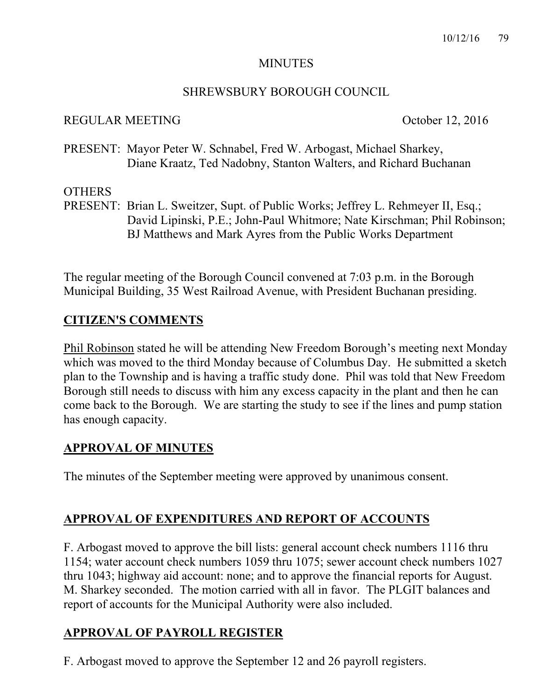#### MINUTES

### SHREWSBURY BOROUGH COUNCIL

### REGULAR MEETING October 12, 2016

PRESENT: Mayor Peter W. Schnabel, Fred W. Arbogast, Michael Sharkey, Diane Kraatz, Ted Nadobny, Stanton Walters, and Richard Buchanan

### **OTHERS**

PRESENT: Brian L. Sweitzer, Supt. of Public Works; Jeffrey L. Rehmeyer II, Esq.; David Lipinski, P.E.; John-Paul Whitmore; Nate Kirschman; Phil Robinson; BJ Matthews and Mark Ayres from the Public Works Department

The regular meeting of the Borough Council convened at 7:03 p.m. in the Borough Municipal Building, 35 West Railroad Avenue, with President Buchanan presiding.

## **CITIZEN'S COMMENTS**

Phil Robinson stated he will be attending New Freedom Borough's meeting next Monday which was moved to the third Monday because of Columbus Day. He submitted a sketch plan to the Township and is having a traffic study done. Phil was told that New Freedom Borough still needs to discuss with him any excess capacity in the plant and then he can come back to the Borough. We are starting the study to see if the lines and pump station has enough capacity.

## **APPROVAL OF MINUTES**

The minutes of the September meeting were approved by unanimous consent.

# **APPROVAL OF EXPENDITURES AND REPORT OF ACCOUNTS**

F. Arbogast moved to approve the bill lists: general account check numbers 1116 thru 1154; water account check numbers 1059 thru 1075; sewer account check numbers 1027 thru 1043; highway aid account: none; and to approve the financial reports for August. M. Sharkey seconded. The motion carried with all in favor. The PLGIT balances and report of accounts for the Municipal Authority were also included.

# **APPROVAL OF PAYROLL REGISTER**

F. Arbogast moved to approve the September 12 and 26 payroll registers.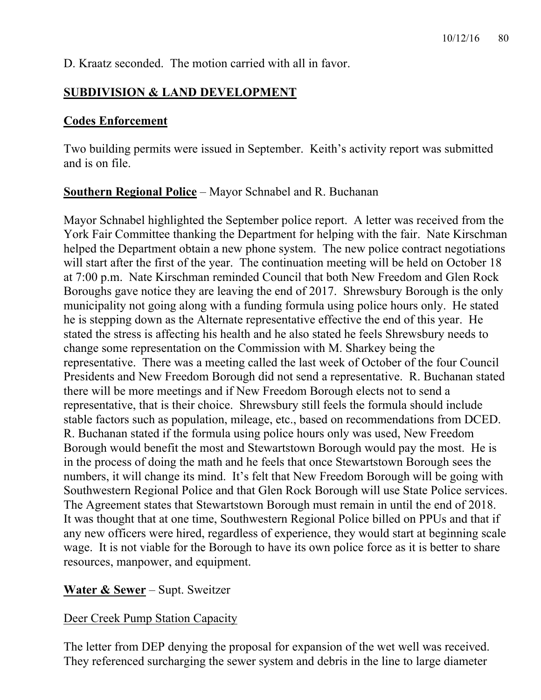D. Kraatz seconded. The motion carried with all in favor.

# **SUBDIVISION & LAND DEVELOPMENT**

## **Codes Enforcement**

Two building permits were issued in September. Keith's activity report was submitted and is on file.

## **Southern Regional Police** – Mayor Schnabel and R. Buchanan

Mayor Schnabel highlighted the September police report. A letter was received from the York Fair Committee thanking the Department for helping with the fair. Nate Kirschman helped the Department obtain a new phone system. The new police contract negotiations will start after the first of the year. The continuation meeting will be held on October 18 at 7:00 p.m. Nate Kirschman reminded Council that both New Freedom and Glen Rock Boroughs gave notice they are leaving the end of 2017. Shrewsbury Borough is the only municipality not going along with a funding formula using police hours only. He stated he is stepping down as the Alternate representative effective the end of this year. He stated the stress is affecting his health and he also stated he feels Shrewsbury needs to change some representation on the Commission with M. Sharkey being the representative. There was a meeting called the last week of October of the four Council Presidents and New Freedom Borough did not send a representative. R. Buchanan stated there will be more meetings and if New Freedom Borough elects not to send a representative, that is their choice. Shrewsbury still feels the formula should include stable factors such as population, mileage, etc., based on recommendations from DCED. R. Buchanan stated if the formula using police hours only was used, New Freedom Borough would benefit the most and Stewartstown Borough would pay the most. He is in the process of doing the math and he feels that once Stewartstown Borough sees the numbers, it will change its mind. It's felt that New Freedom Borough will be going with Southwestern Regional Police and that Glen Rock Borough will use State Police services. The Agreement states that Stewartstown Borough must remain in until the end of 2018. It was thought that at one time, Southwestern Regional Police billed on PPUs and that if any new officers were hired, regardless of experience, they would start at beginning scale wage. It is not viable for the Borough to have its own police force as it is better to share resources, manpower, and equipment.

## **Water & Sewer** – Supt. Sweitzer

## Deer Creek Pump Station Capacity

The letter from DEP denying the proposal for expansion of the wet well was received. They referenced surcharging the sewer system and debris in the line to large diameter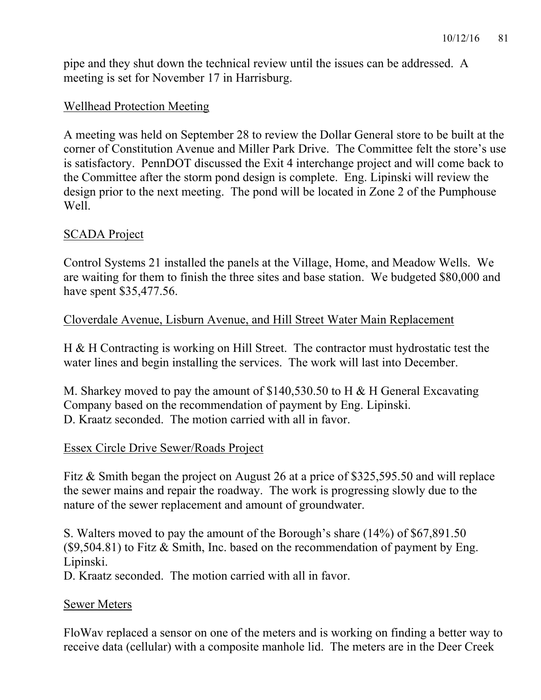pipe and they shut down the technical review until the issues can be addressed. A meeting is set for November 17 in Harrisburg.

### Wellhead Protection Meeting

A meeting was held on September 28 to review the Dollar General store to be built at the corner of Constitution Avenue and Miller Park Drive. The Committee felt the store's use is satisfactory. PennDOT discussed the Exit 4 interchange project and will come back to the Committee after the storm pond design is complete. Eng. Lipinski will review the design prior to the next meeting. The pond will be located in Zone 2 of the Pumphouse Well.

### SCADA Project

Control Systems 21 installed the panels at the Village, Home, and Meadow Wells. We are waiting for them to finish the three sites and base station. We budgeted \$80,000 and have spent \$35,477.56.

### Cloverdale Avenue, Lisburn Avenue, and Hill Street Water Main Replacement

H & H Contracting is working on Hill Street. The contractor must hydrostatic test the water lines and begin installing the services. The work will last into December.

M. Sharkey moved to pay the amount of \$140,530.50 to H & H General Excavating Company based on the recommendation of payment by Eng. Lipinski. D. Kraatz seconded. The motion carried with all in favor.

### Essex Circle Drive Sewer/Roads Project

Fitz & Smith began the project on August 26 at a price of \$325,595.50 and will replace the sewer mains and repair the roadway. The work is progressing slowly due to the nature of the sewer replacement and amount of groundwater.

S. Walters moved to pay the amount of the Borough's share (14%) of \$67,891.50  $($ \$9,504.81) to Fitz & Smith, Inc. based on the recommendation of payment by Eng. Lipinski.

D. Kraatz seconded. The motion carried with all in favor.

### Sewer Meters

FloWav replaced a sensor on one of the meters and is working on finding a better way to receive data (cellular) with a composite manhole lid. The meters are in the Deer Creek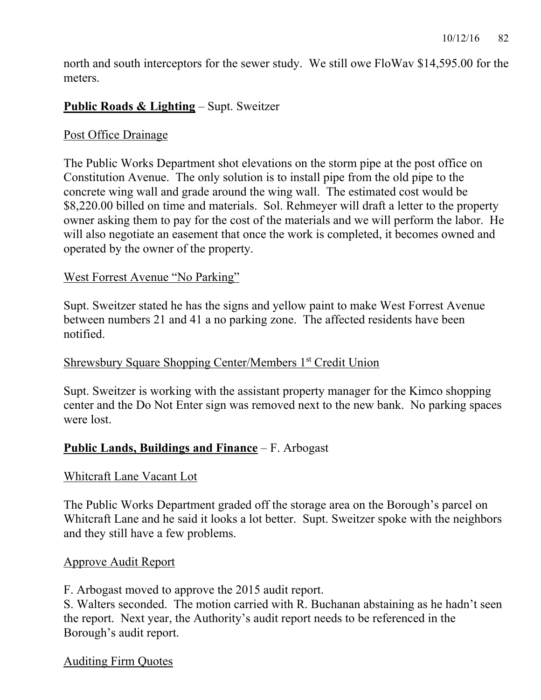north and south interceptors for the sewer study. We still owe FloWav \$14,595.00 for the meters.

### **Public Roads & Lighting** – Supt. Sweitzer

#### Post Office Drainage

The Public Works Department shot elevations on the storm pipe at the post office on Constitution Avenue. The only solution is to install pipe from the old pipe to the concrete wing wall and grade around the wing wall. The estimated cost would be \$8,220.00 billed on time and materials. Sol. Rehmeyer will draft a letter to the property owner asking them to pay for the cost of the materials and we will perform the labor. He will also negotiate an easement that once the work is completed, it becomes owned and operated by the owner of the property.

#### West Forrest Avenue "No Parking"

Supt. Sweitzer stated he has the signs and yellow paint to make West Forrest Avenue between numbers 21 and 41 a no parking zone. The affected residents have been notified.

### Shrewsbury Square Shopping Center/Members 1st Credit Union

Supt. Sweitzer is working with the assistant property manager for the Kimco shopping center and the Do Not Enter sign was removed next to the new bank. No parking spaces were lost.

### **Public Lands, Buildings and Finance** – F. Arbogast

#### Whitcraft Lane Vacant Lot

The Public Works Department graded off the storage area on the Borough's parcel on Whitcraft Lane and he said it looks a lot better. Supt. Sweitzer spoke with the neighbors and they still have a few problems.

#### Approve Audit Report

F. Arbogast moved to approve the 2015 audit report.

S. Walters seconded. The motion carried with R. Buchanan abstaining as he hadn't seen the report. Next year, the Authority's audit report needs to be referenced in the Borough's audit report.

#### Auditing Firm Quotes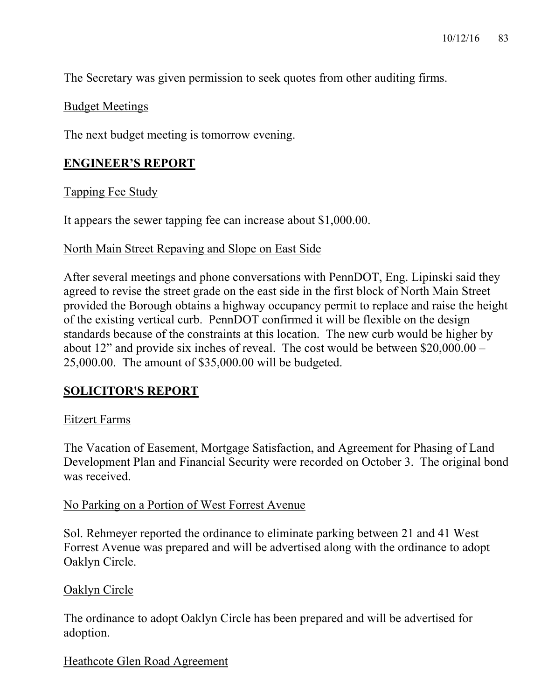The Secretary was given permission to seek quotes from other auditing firms.

#### Budget Meetings

The next budget meeting is tomorrow evening.

### **ENGINEER'S REPORT**

#### Tapping Fee Study

It appears the sewer tapping fee can increase about \$1,000.00.

#### North Main Street Repaving and Slope on East Side

After several meetings and phone conversations with PennDOT, Eng. Lipinski said they agreed to revise the street grade on the east side in the first block of North Main Street provided the Borough obtains a highway occupancy permit to replace and raise the height of the existing vertical curb. PennDOT confirmed it will be flexible on the design standards because of the constraints at this location. The new curb would be higher by about 12" and provide six inches of reveal. The cost would be between \$20,000.00 – 25,000.00. The amount of \$35,000.00 will be budgeted.

## **SOLICITOR'S REPORT**

#### Eitzert Farms

The Vacation of Easement, Mortgage Satisfaction, and Agreement for Phasing of Land Development Plan and Financial Security were recorded on October 3. The original bond was received.

#### No Parking on a Portion of West Forrest Avenue

Sol. Rehmeyer reported the ordinance to eliminate parking between 21 and 41 West Forrest Avenue was prepared and will be advertised along with the ordinance to adopt Oaklyn Circle.

### Oaklyn Circle

The ordinance to adopt Oaklyn Circle has been prepared and will be advertised for adoption.

### Heathcote Glen Road Agreement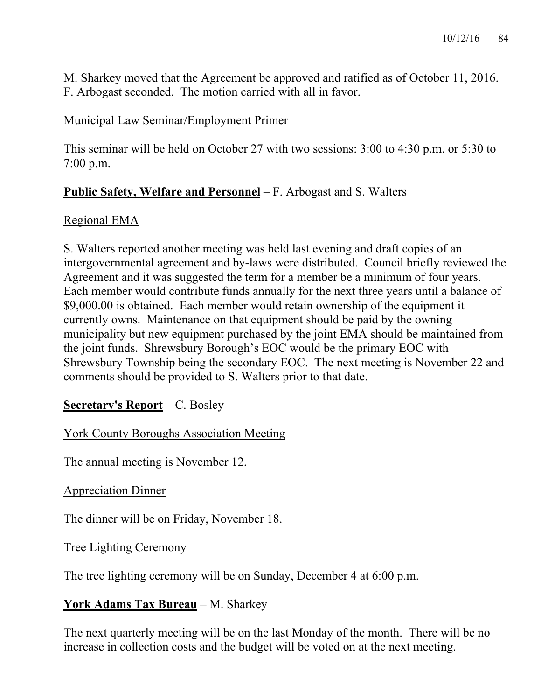M. Sharkey moved that the Agreement be approved and ratified as of October 11, 2016. F. Arbogast seconded. The motion carried with all in favor.

### Municipal Law Seminar/Employment Primer

This seminar will be held on October 27 with two sessions: 3:00 to 4:30 p.m. or 5:30 to 7:00 p.m.

## **Public Safety, Welfare and Personnel** – F. Arbogast and S. Walters

### Regional EMA

S. Walters reported another meeting was held last evening and draft copies of an intergovernmental agreement and by-laws were distributed. Council briefly reviewed the Agreement and it was suggested the term for a member be a minimum of four years. Each member would contribute funds annually for the next three years until a balance of \$9,000.00 is obtained. Each member would retain ownership of the equipment it currently owns. Maintenance on that equipment should be paid by the owning municipality but new equipment purchased by the joint EMA should be maintained from the joint funds. Shrewsbury Borough's EOC would be the primary EOC with Shrewsbury Township being the secondary EOC. The next meeting is November 22 and comments should be provided to S. Walters prior to that date.

## **Secretary's Report** – C. Bosley

York County Boroughs Association Meeting

The annual meeting is November 12.

Appreciation Dinner

The dinner will be on Friday, November 18.

### Tree Lighting Ceremony

The tree lighting ceremony will be on Sunday, December 4 at 6:00 p.m.

### **York Adams Tax Bureau** – M. Sharkey

The next quarterly meeting will be on the last Monday of the month. There will be no increase in collection costs and the budget will be voted on at the next meeting.